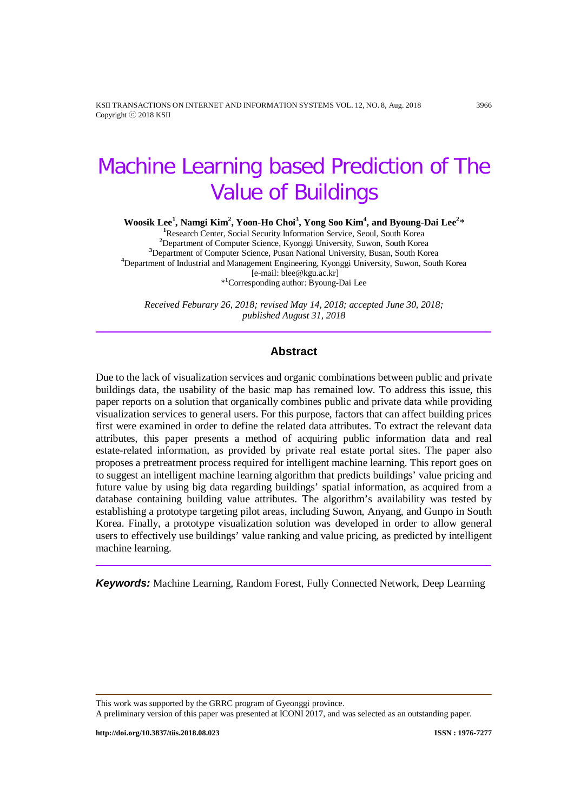KSII TRANSACTIONS ON INTERNET AND INFORMATION SYSTEMS VOL. 12, NO. 8, Aug. 2018 3966 Copyright ⓒ 2018 KSII

# Machine Learning based Prediction of The Value of Buildings

**Woosik Lee<sup>1</sup>, Namgi Kim<sup>2</sup>, Yoon-Ho Choi<sup>3</sup>, Yong Soo Kim<sup>4</sup>, and Byoung-Dai Lee<sup>2</sup>\*** 

<sup>1</sup>Research Center, Social Security Information Service, Seoul, South Korea Department of Computer Science, Kyonggi University, Suwon, South Korea **<sup>3</sup>** Department of Computer Science, Pusan National University, Busan, South Korea **<sup>4</sup>** Department of Industrial and Management Engineering, Kyonggi University, Suwon, South Korea [e-mail: blee@kgu.ac.kr] \***1** Corresponding author: Byoung-Dai Lee

*Received Feburary 26, 2018; revised May 14, 2018; accepted June 30, 2018; published August 31, 2018*

#### **Abstract**

Due to the lack of visualization services and organic combinations between public and private buildings data, the usability of the basic map has remained low. To address this issue, this paper reports on a solution that organically combines public and private data while providing visualization services to general users. For this purpose, factors that can affect building prices first were examined in order to define the related data attributes. To extract the relevant data attributes, this paper presents a method of acquiring public information data and real estate-related information, as provided by private real estate portal sites. The paper also proposes a pretreatment process required for intelligent machine learning. This report goes on to suggest an intelligent machine learning algorithm that predicts buildings' value pricing and future value by using big data regarding buildings' spatial information, as acquired from a database containing building value attributes. The algorithm's availability was tested by establishing a prototype targeting pilot areas, including Suwon, Anyang, and Gunpo in South Korea. Finally, a prototype visualization solution was developed in order to allow general users to effectively use buildings' value ranking and value pricing, as predicted by intelligent machine learning.

*Keywords:* Machine Learning, Random Forest, Fully Connected Network, Deep Learning

This work was supported by the GRRC program of Gyeonggi province.

A preliminary version of this paper was presented at ICONI 2017, and was selected as an outstanding paper.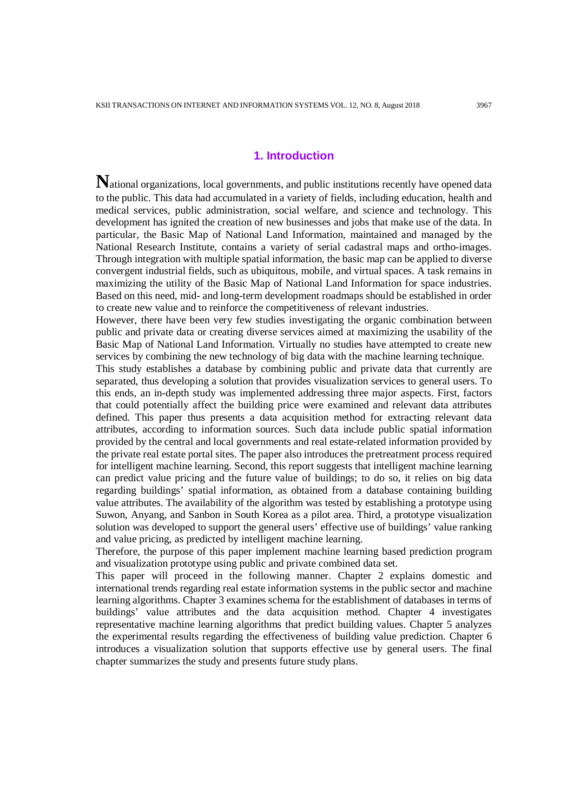## **1. Introduction**

National organizations, local governments, and public institutions recently have opened data to the public. This data had accumulated in a variety of fields, including education, health and medical services, public administration, social welfare, and science and technology. This development has ignited the creation of new businesses and jobs that make use of the data. In particular, the Basic Map of National Land Information, maintained and managed by the National Research Institute, contains a variety of serial cadastral maps and ortho-images. Through integration with multiple spatial information, the basic map can be applied to diverse convergent industrial fields, such as ubiquitous, mobile, and virtual spaces. A task remains in maximizing the utility of the Basic Map of National Land Information for space industries. Based on this need, mid- and long-term development roadmaps should be established in order to create new value and to reinforce the competitiveness of relevant industries.

However, there have been very few studies investigating the organic combination between public and private data or creating diverse services aimed at maximizing the usability of the Basic Map of National Land Information. Virtually no studies have attempted to create new services by combining the new technology of big data with the machine learning technique.

This study establishes a database by combining public and private data that currently are separated, thus developing a solution that provides visualization services to general users. To this ends, an in-depth study was implemented addressing three major aspects. First, factors that could potentially affect the building price were examined and relevant data attributes defined. This paper thus presents a data acquisition method for extracting relevant data attributes, according to information sources. Such data include public spatial information provided by the central and local governments and real estate-related information provided by the private real estate portal sites. The paper also introduces the pretreatment process required for intelligent machine learning. Second, this report suggests that intelligent machine learning can predict value pricing and the future value of buildings; to do so, it relies on big data regarding buildings' spatial information, as obtained from a database containing building value attributes. The availability of the algorithm was tested by establishing a prototype using Suwon, Anyang, and Sanbon in South Korea as a pilot area. Third, a prototype visualization solution was developed to support the general users' effective use of buildings' value ranking and value pricing, as predicted by intelligent machine learning.

Therefore, the purpose of this paper implement machine learning based prediction program and visualization prototype using public and private combined data set.

This paper will proceed in the following manner. Chapter 2 explains domestic and international trends regarding real estate information systems in the public sector and machine learning algorithms. Chapter 3 examines schema for the establishment of databases in terms of buildings' value attributes and the data acquisition method. Chapter 4 investigates representative machine learning algorithms that predict building values. Chapter 5 analyzes the experimental results regarding the effectiveness of building value prediction. Chapter 6 introduces a visualization solution that supports effective use by general users. The final chapter summarizes the study and presents future study plans.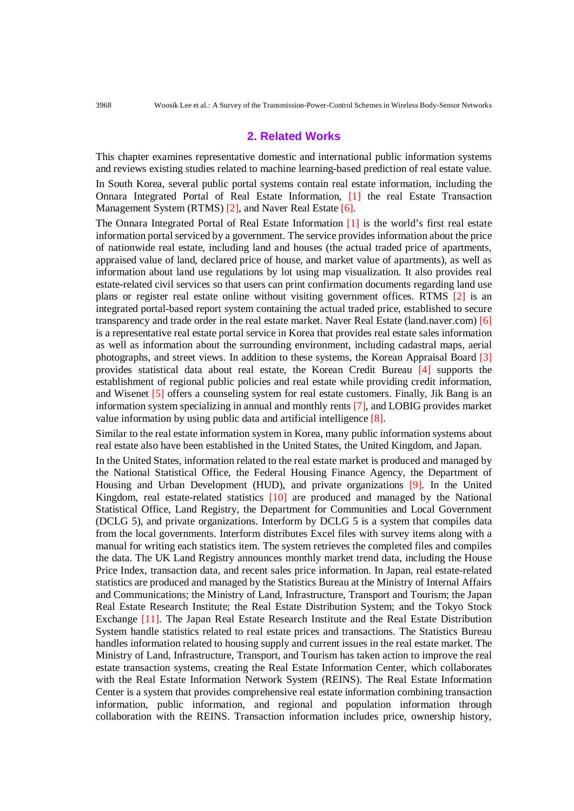## **2. Related Works**

This chapter examines representative domestic and international public information systems and reviews existing studies related to machine learning-based prediction of real estate value. In South Korea, several public portal systems contain real estate information, including the Onnara Integrated Portal of Real Estate Information, [1] the real Estate Transaction Management System (RTMS) [2], and Naver Real Estate [6].

The Onnara Integrated Portal of Real Estate Information [1] is the world's first real estate information portal serviced by a government. The service provides information about the price of nationwide real estate, including land and houses (the actual traded price of apartments, appraised value of land, declared price of house, and market value of apartments), as well as information about land use regulations by lot using map visualization. It also provides real estate-related civil services so that users can print confirmation documents regarding land use plans or register real estate online without visiting government offices. RTMS [2] is an integrated portal-based report system containing the actual traded price, established to secure transparency and trade order in the real estate market. Naver Real Estate (land.naver.com) [6] is a representative real estate portal service in Korea that provides real estate sales information as well as information about the surrounding environment, including cadastral maps, aerial photographs, and street views. In addition to these systems, the Korean Appraisal Board [3] provides statistical data about real estate, the Korean Credit Bureau [4] supports the establishment of regional public policies and real estate while providing credit information, and Wisenet [5] offers a counseling system for real estate customers. Finally, Jik Bang is an information system specializing in annual and monthly rents [7], and LOBIG provides market value information by using public data and artificial intelligence [8].

Similar to the real estate information system in Korea, many public information systems about real estate also have been established in the United States, the United Kingdom, and Japan.

In the United States, information related to the real estate market is produced and managed by the National Statistical Office, the Federal Housing Finance Agency, the Department of Housing and Urban Development (HUD), and private organizations [9]. In the United Kingdom, real estate-related statistics [10] are produced and managed by the National Statistical Office, Land Registry, the Department for Communities and Local Government (DCLG 5), and private organizations. Interform by DCLG 5 is a system that compiles data from the local governments. Interform distributes Excel files with survey items along with a manual for writing each statistics item. The system retrieves the completed files and compiles the data. The UK Land Registry announces monthly market trend data, including the House Price Index, transaction data, and recent sales price information. In Japan, real estate-related statistics are produced and managed by the Statistics Bureau at the Ministry of Internal Affairs and Communications; the Ministry of Land, Infrastructure, Transport and Tourism; the Japan Real Estate Research Institute; the Real Estate Distribution System; and the Tokyo Stock Exchange [11]. The Japan Real Estate Research Institute and the Real Estate Distribution System handle statistics related to real estate prices and transactions. The Statistics Bureau handles information related to housing supply and current issues in the real estate market. The Ministry of Land, Infrastructure, Transport, and Tourism has taken action to improve the real estate transaction systems, creating the Real Estate Information Center, which collaborates with the Real Estate Information Network System (REINS). The Real Estate Information Center is a system that provides comprehensive real estate information combining transaction information, public information, and regional and population information through collaboration with the REINS. Transaction information includes price, ownership history,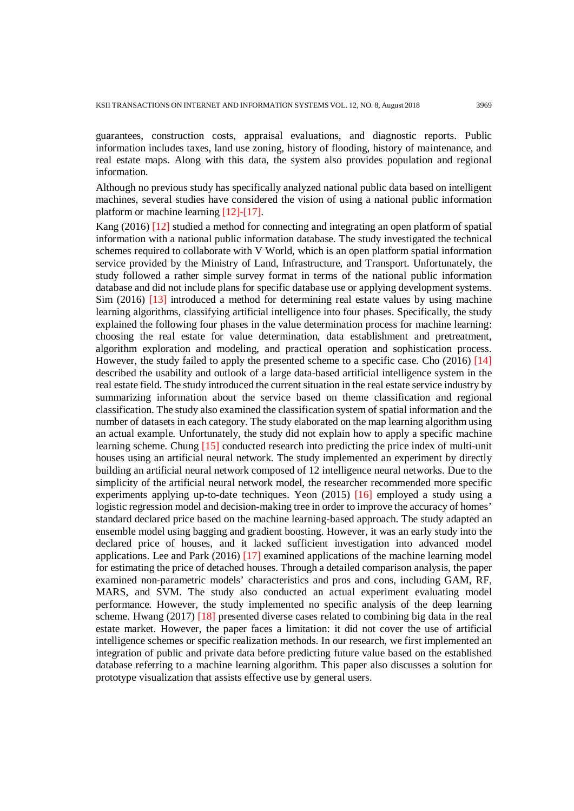guarantees, construction costs, appraisal evaluations, and diagnostic reports. Public information includes taxes, land use zoning, history of flooding, history of maintenance, and real estate maps. Along with this data, the system also provides population and regional information.

Although no previous study has specifically analyzed national public data based on intelligent machines, several studies have considered the vision of using a national public information platform or machine learning [12]-[17].

Kang (2016) [12] studied a method for connecting and integrating an open platform of spatial information with a national public information database. The study investigated the technical schemes required to collaborate with V World, which is an open platform spatial information service provided by the Ministry of Land, Infrastructure, and Transport. Unfortunately, the study followed a rather simple survey format in terms of the national public information database and did not include plans for specific database use or applying development systems. Sim (2016) [13] introduced a method for determining real estate values by using machine learning algorithms, classifying artificial intelligence into four phases. Specifically, the study explained the following four phases in the value determination process for machine learning: choosing the real estate for value determination, data establishment and pretreatment, algorithm exploration and modeling, and practical operation and sophistication process. However, the study failed to apply the presented scheme to a specific case. Cho (2016) [14] described the usability and outlook of a large data-based artificial intelligence system in the real estate field. The study introduced the current situation in the real estate service industry by summarizing information about the service based on theme classification and regional classification. The study also examined the classification system of spatial information and the number of datasets in each category. The study elaborated on the map learning algorithm using an actual example. Unfortunately, the study did not explain how to apply a specific machine learning scheme. Chung [15] conducted research into predicting the price index of multi-unit houses using an artificial neural network. The study implemented an experiment by directly building an artificial neural network composed of 12 intelligence neural networks. Due to the simplicity of the artificial neural network model, the researcher recommended more specific experiments applying up-to-date techniques. Yeon (2015) [16] employed a study using a logistic regression model and decision-making tree in order to improve the accuracy of homes' standard declared price based on the machine learning-based approach. The study adapted an ensemble model using bagging and gradient boosting. However, it was an early study into the declared price of houses, and it lacked sufficient investigation into advanced model applications. Lee and Park (2016) [17] examined applications of the machine learning model for estimating the price of detached houses. Through a detailed comparison analysis, the paper examined non-parametric models' characteristics and pros and cons, including GAM, RF, MARS, and SVM. The study also conducted an actual experiment evaluating model performance. However, the study implemented no specific analysis of the deep learning scheme. Hwang (2017) [18] presented diverse cases related to combining big data in the real estate market. However, the paper faces a limitation: it did not cover the use of artificial intelligence schemes or specific realization methods. In our research, we first implemented an integration of public and private data before predicting future value based on the established database referring to a machine learning algorithm. This paper also discusses a solution for prototype visualization that assists effective use by general users.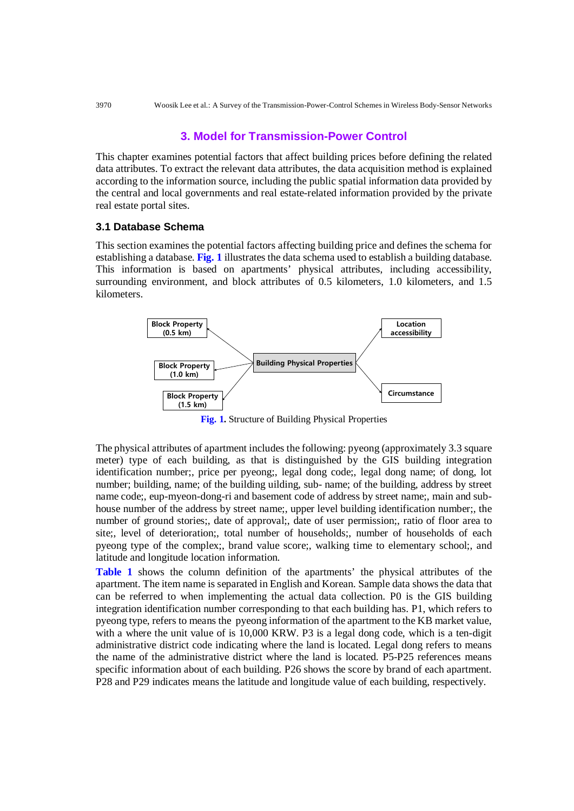## **3. Model for Transmission-Power Control**

This chapter examines potential factors that affect building prices before defining the related data attributes. To extract the relevant data attributes, the data acquisition method is explained according to the information source, including the public spatial information data provided by the central and local governments and real estate-related information provided by the private real estate portal sites.

### **3.1 Database Schema**

This section examines the potential factors affecting building price and defines the schema for establishing a database. **Fig. 1** illustrates the data schema used to establish a building database. This information is based on apartments' physical attributes, including accessibility, surrounding environment, and block attributes of 0.5 kilometers, 1.0 kilometers, and 1.5 kilometers.



**Fig. 1.** Structure of Building Physical Properties

The physical attributes of apartment includes the following: pyeong (approximately 3.3 square meter) type of each building, as that is distinguished by the GIS building integration identification number;, price per pyeong;, legal dong code;, legal dong name; of dong, lot number; building, name; of the building uilding, sub- name; of the building, address by street name code;, eup-myeon-dong-ri and basement code of address by street name;, main and subhouse number of the address by street name;, upper level building identification number;, the number of ground stories;, date of approval;, date of user permission;, ratio of floor area to site;, level of deterioration;, total number of households;, number of households of each pyeong type of the complex;, brand value score;, walking time to elementary school;, and latitude and longitude location information.

**Table 1** shows the column definition of the apartments' the physical attributes of the apartment. The item name is separated in English and Korean. Sample data shows the data that can be referred to when implementing the actual data collection. P0 is the GIS building integration identification number corresponding to that each building has. P1, which refers to pyeong type, refers to means the pyeong information of the apartment to the KB market value, with a where the unit value of is 10,000 KRW. P3 is a legal dong code, which is a ten-digit administrative district code indicating where the land is located. Legal dong refers to means the name of the administrative district where the land is located. P5-P25 references means specific information about of each building. P26 shows the score by brand of each apartment. P28 and P29 indicates means the latitude and longitude value of each building, respectively.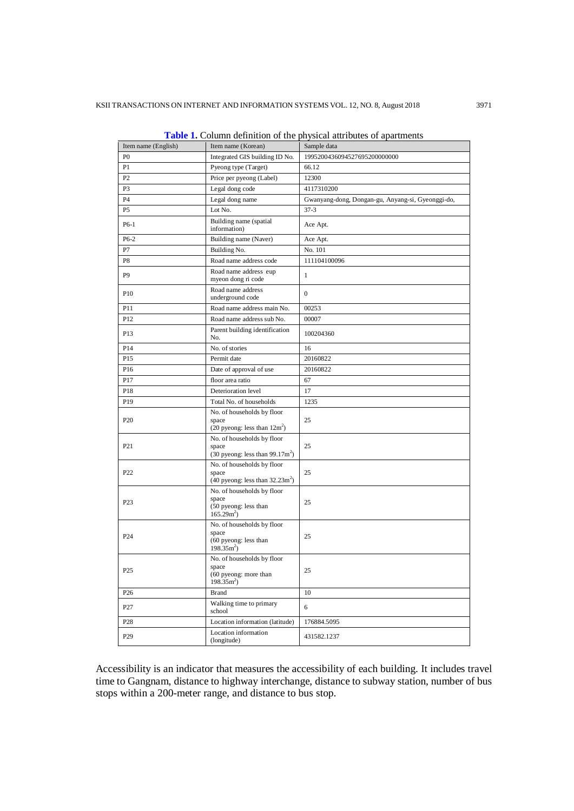| Item name (English) | Item name (Korean)                                                                        | Sample data                                       |  |
|---------------------|-------------------------------------------------------------------------------------------|---------------------------------------------------|--|
| P <sub>0</sub>      | Integrated GIS building ID No.                                                            | 1995200436094527695200000000                      |  |
| P1                  | Pyeong type (Target)                                                                      | 66.12                                             |  |
| P2                  | Price per pyeong (Label)                                                                  | 12300                                             |  |
| P <sub>3</sub>      | Legal dong code                                                                           | 4117310200                                        |  |
| <b>P4</b>           | Legal dong name                                                                           | Gwanyang-dong, Dongan-gu, Anyang-si, Gyeonggi-do, |  |
| P <sub>5</sub>      | Lot No.                                                                                   | $37 - 3$                                          |  |
| $P6-1$              | Building name (spatial<br>information)                                                    | Ace Apt.                                          |  |
| $P6-2$              | Building name (Naver)                                                                     | Ace Apt.                                          |  |
| P7                  | Building No.                                                                              | No. 101                                           |  |
| P <sub>8</sub>      | Road name address code                                                                    | 111104100096                                      |  |
| P <sub>9</sub>      | Road name address eup<br>myeon dong ri code                                               | $\mathbf{1}$                                      |  |
| P <sub>10</sub>     | Road name address<br>underground code                                                     | $\mathbf{0}$                                      |  |
| P11                 | Road name address main No.                                                                | 00253                                             |  |
| P <sub>12</sub>     | Road name address sub No.                                                                 | 00007                                             |  |
| P13                 | Parent building identification<br>No.                                                     | 100204360                                         |  |
| P14                 | No. of stories                                                                            | 16                                                |  |
| P <sub>15</sub>     | Permit date                                                                               | 20160822                                          |  |
| P <sub>16</sub>     | Date of approval of use                                                                   | 20160822                                          |  |
| P17                 | floor area ratio                                                                          | 67                                                |  |
| P18                 | Deterioration level                                                                       | 17                                                |  |
| P19                 | Total No. of households                                                                   | 1235                                              |  |
| P <sub>20</sub>     | No. of households by floor<br>space                                                       | 25                                                |  |
|                     | $(20$ pyeong: less than $12m2$ )                                                          |                                                   |  |
| P21                 | No. of households by floor<br>space<br>$(30 \text{ pyeong: less than } 99.17 \text{m}^2)$ | 25                                                |  |
| P22                 | No. of households by floor<br>space<br>$(40 \text{ pyeong: less than } 32.23 \text{m}^2)$ | 25                                                |  |
| P <sub>23</sub>     | No. of households by floor<br>space<br>(50 pyeong: less than<br>$165.292$ )               | 25                                                |  |
| P <sub>24</sub>     | No. of households by floor<br>space<br>(60 pyeong: less than<br>198.35 <sup>2</sup>       | 25                                                |  |
| P <sub>25</sub>     | No. of households by floor<br>space<br>(60 pyeong: more than<br>$198.352$ )               | 25                                                |  |
| P <sub>26</sub>     | <b>Brand</b>                                                                              | 10                                                |  |
| P27                 | Walking time to primary<br>school                                                         | 6                                                 |  |
| P <sub>28</sub>     | Location information (latitude)                                                           | 176884.5095                                       |  |
| P <sub>29</sub>     | Location information<br>(longitude)                                                       | 431582.1237                                       |  |

**Table 1.** Column definition of the physical attributes of apartments

Accessibility is an indicator that measures the accessibility of each building. It includes travel time to Gangnam, distance to highway interchange, distance to subway station, number of bus stops within a 200-meter range, and distance to bus stop.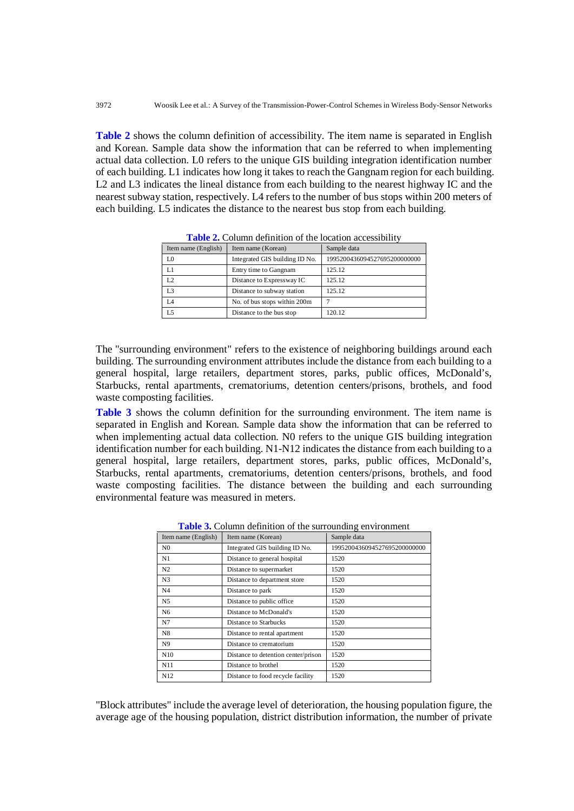**Table 2** shows the column definition of accessibility. The item name is separated in English and Korean. Sample data show the information that can be referred to when implementing actual data collection. L0 refers to the unique GIS building integration identification number of each building. L1 indicates how long it takes to reach the Gangnam region for each building. L2 and L3 indicates the lineal distance from each building to the nearest highway IC and the nearest subway station, respectively. L4 refers to the number of bus stops within 200 meters of each building. L5 indicates the distance to the nearest bus stop from each building.

| Item name (English) | Item name (Korean)             | Sample data                  |
|---------------------|--------------------------------|------------------------------|
| L0                  | Integrated GIS building ID No. | 1995200436094527695200000000 |
| L1                  | Entry time to Gangnam          | 125.12                       |
| L <sub>2</sub>      | Distance to Expressway IC      | 125.12                       |
| L <sub>3</sub>      | Distance to subway station     | 125.12                       |
| L4                  | No. of bus stops within 200m   |                              |
| L5                  | Distance to the bus stop       | 120.12                       |

**Table 2.** Column definition of the location accessibility

The "surrounding environment" refers to the existence of neighboring buildings around each building. The surrounding environment attributes include the distance from each building to a general hospital, large retailers, department stores, parks, public offices, McDonald's, Starbucks, rental apartments, crematoriums, detention centers/prisons, brothels, and food waste composting facilities.

**Table 3** shows the column definition for the surrounding environment. The item name is separated in English and Korean. Sample data show the information that can be referred to when implementing actual data collection. N0 refers to the unique GIS building integration identification number for each building. N1-N12 indicates the distance from each building to a general hospital, large retailers, department stores, parks, public offices, McDonald's, Starbucks, rental apartments, crematoriums, detention centers/prisons, brothels, and food waste composting facilities. The distance between the building and each surrounding environmental feature was measured in meters.

| Item name (English) | Item name (Korean)                  | Sample data                  |
|---------------------|-------------------------------------|------------------------------|
| N <sub>0</sub>      | Integrated GIS building ID No.      | 1995200436094527695200000000 |
| N1                  | Distance to general hospital        | 1520                         |
| N <sub>2</sub>      | Distance to supermarket             | 1520                         |
| N <sub>3</sub>      | Distance to department store        | 1520                         |
| N4                  | Distance to park                    | 1520                         |
| N5                  | Distance to public office.          | 1520                         |
| N <sub>6</sub>      | Distance to McDonald's              | 1520                         |
| N7                  | Distance to Starbucks               | 1520                         |
| N8                  | Distance to rental apartment        | 1520                         |
| N9                  | Distance to crematorium             | 1520                         |
| N <sub>10</sub>     | Distance to detention center/prison | 1520                         |
| N11                 | Distance to brothel                 | 1520                         |
| N <sub>12</sub>     | Distance to food recycle facility   | 1520                         |

**Table 3.** Column definition of the surrounding environment

"Block attributes" include the average level of deterioration, the housing population figure, the average age of the housing population, district distribution information, the number of private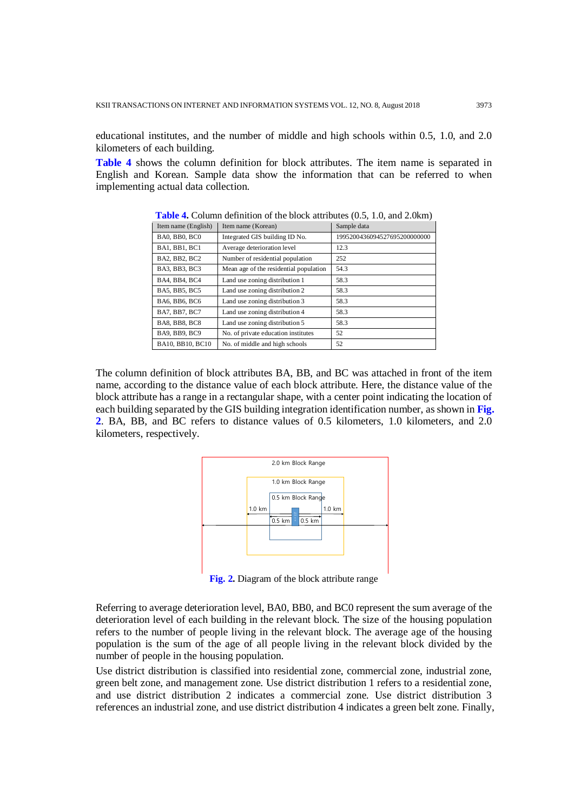educational institutes, and the number of middle and high schools within 0.5, 1.0, and 2.0 kilometers of each building.

**Table 4** shows the column definition for block attributes. The item name is separated in English and Korean. Sample data show the information that can be referred to when implementing actual data collection.

| Item name (English)  | Item name (Korean)                     | Sample data                  |
|----------------------|----------------------------------------|------------------------------|
| BA0, BB0, BC0        | Integrated GIS building ID No.         | 1995200436094527695200000000 |
| BA1, BB1, BC1        | Average deterioration level            | 12.3                         |
| BA2, BB2, BC2        | Number of residential population       | 252                          |
| BA3, BB3, BC3        | Mean age of the residential population | 54.3                         |
| BA4, BB4, BC4        | Land use zoning distribution 1         | 58.3                         |
| BA5, BB5, BC5        | Land use zoning distribution 2         | 58.3                         |
| BA6, BB6, BC6        | Land use zoning distribution 3         | 58.3                         |
| BA7, BB7, BC7        | Land use zoning distribution 4         | 58.3                         |
| <b>BA8, BB8, BC8</b> | Land use zoning distribution 5         | 58.3                         |
| BA9, BB9, BC9        | No. of private education institutes    | 52                           |
| BA10, BB10, BC10     | No. of middle and high schools         | 52                           |

**Table 4.** Column definition of the block attributes (0.5, 1.0, and 2.0km)

The column definition of block attributes BA, BB, and BC was attached in front of the item name, according to the distance value of each block attribute. Here, the distance value of the block attribute has a range in a rectangular shape, with a center point indicating the location of each building separated by the GIS building integration identification number, as shown in **Fig. 2**. BA, BB, and BC refers to distance values of 0.5 kilometers, 1.0 kilometers, and 2.0 kilometers, respectively.



**Fig. 2.** Diagram of the block attribute range

Referring to average deterioration level, BA0, BB0, and BC0 represent the sum average of the deterioration level of each building in the relevant block. The size of the housing population refers to the number of people living in the relevant block. The average age of the housing population is the sum of the age of all people living in the relevant block divided by the number of people in the housing population.

Use district distribution is classified into residential zone, commercial zone, industrial zone, green belt zone, and management zone. Use district distribution 1 refers to a residential zone, and use district distribution 2 indicates a commercial zone. Use district distribution 3 references an industrial zone, and use district distribution 4 indicates a green belt zone. Finally,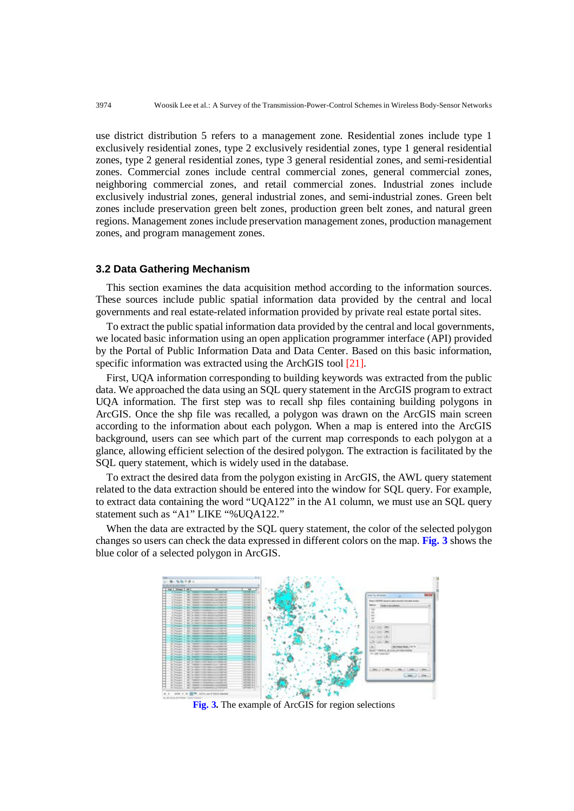use district distribution 5 refers to a management zone. Residential zones include type 1 exclusively residential zones, type 2 exclusively residential zones, type 1 general residential zones, type 2 general residential zones, type 3 general residential zones, and semi-residential zones. Commercial zones include central commercial zones, general commercial zones, neighboring commercial zones, and retail commercial zones. Industrial zones include exclusively industrial zones, general industrial zones, and semi-industrial zones. Green belt zones include preservation green belt zones, production green belt zones, and natural green regions. Management zones include preservation management zones, production management zones, and program management zones.

#### **3.2 Data Gathering Mechanism**

This section examines the data acquisition method according to the information sources. These sources include public spatial information data provided by the central and local governments and real estate-related information provided by private real estate portal sites.

To extract the public spatial information data provided by the central and local governments, we located basic information using an open application programmer interface (API) provided by the Portal of Public Information Data and Data Center. Based on this basic information, specific information was extracted using the ArchGIS tool [21].

First, UQA information corresponding to building keywords was extracted from the public data. We approached the data using an SQL query statement in the ArcGIS program to extract UQA information. The first step was to recall shp files containing building polygons in ArcGIS. Once the shp file was recalled, a polygon was drawn on the ArcGIS main screen according to the information about each polygon. When a map is entered into the ArcGIS background, users can see which part of the current map corresponds to each polygon at a glance, allowing efficient selection of the desired polygon. The extraction is facilitated by the SQL query statement, which is widely used in the database.

To extract the desired data from the polygon existing in ArcGIS, the AWL query statement related to the data extraction should be entered into the window for SQL query. For example, to extract data containing the word "UQA122" in the A1 column, we must use an SQL query statement such as "A1" LIKE "%UQA122."

When the data are extracted by the SQL query statement, the color of the selected polygon changes so users can check the data expressed in different colors on the map. **Fig. 3** shows the blue color of a selected polygon in ArcGIS.



**Fig. 3.** The example of ArcGIS for region selections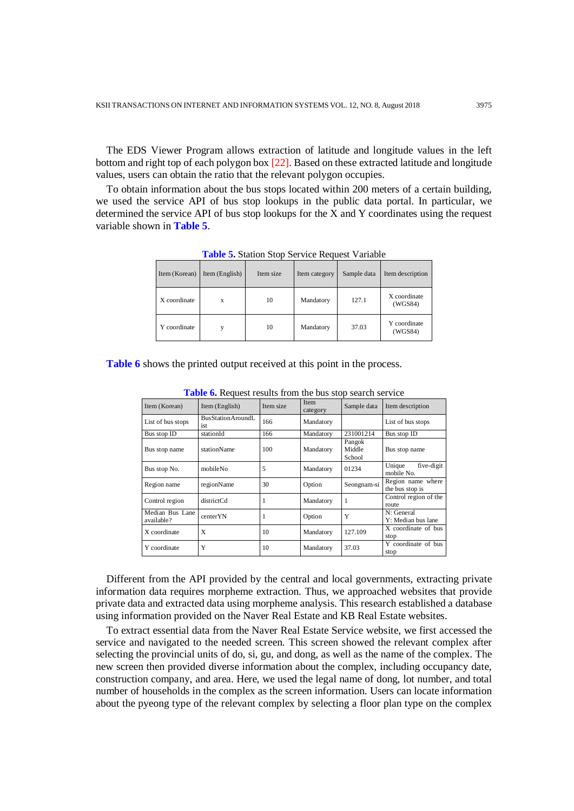The EDS Viewer Program allows extraction of latitude and longitude values in the left bottom and right top of each polygon box [22]. Based on these extracted latitude and longitude values, users can obtain the ratio that the relevant polygon occupies.

To obtain information about the bus stops located within 200 meters of a certain building, we used the service API of bus stop lookups in the public data portal. In particular, we determined the service API of bus stop lookups for the X and Y coordinates using the request variable shown in **Table 5**.

| Item (Korean) | Item (English) | Item size | Item category | Sample data | Item description        |
|---------------|----------------|-----------|---------------|-------------|-------------------------|
| X coordinate  | X              | 10        | Mandatory     | 127.1       | X coordinate<br>(WGS84) |
| Y coordinate  |                | 10        | Mandatory     | 37.03       | Y coordinate<br>(WGS84) |

**Table 5.** Station Stop Service Request Variable

**Table 6** shows the printed output received at this point in the process.

| Item (Korean)                 | Item (English)                  | Item size | <b>Item</b><br>category | Sample data                | Item description                     |
|-------------------------------|---------------------------------|-----------|-------------------------|----------------------------|--------------------------------------|
| List of bus stops             | <b>BusStationAroundL</b><br>ist | 166       | Mandatory               |                            | List of bus stops                    |
| Bus stop ID                   | stationId                       | 166       | Mandatory               | 231001214                  | Bus stop ID                          |
| Bus stop name                 | stationName                     | 100       | Mandatory               | Pangok<br>Middle<br>School | Bus stop name                        |
| Bus stop No.                  | mobileNo                        | 5         | Mandatory               | 01234                      | Unique<br>five-digit<br>mobile No.   |
| Region name                   | regionName                      | 30        | Option                  | Seongnam-si                | Region name where<br>the bus stop is |
| Control region                | districtCd                      | 1         | Mandatory               | 1                          | Control region of the<br>route       |
| Median Bus Lane<br>available? | centerYN                        | 1         | Option                  | Y                          | N: General<br>Y: Median bus lane     |
| X coordinate                  | X                               | 10        | Mandatory               | 127.109                    | X coordinate of bus<br>stop          |
| Y coordinate                  | Y                               | 10        | Mandatory               | 37.03                      | Y coordinate of bus<br>stop          |

**Table 6.** Request results from the bus stop search service

Different from the API provided by the central and local governments, extracting private information data requires morpheme extraction. Thus, we approached websites that provide private data and extracted data using morpheme analysis. This research established a database using information provided on the Naver Real Estate and KB Real Estate websites.

To extract essential data from the Naver Real Estate Service website, we first accessed the service and navigated to the needed screen. This screen showed the relevant complex after selecting the provincial units of do, si, gu, and dong, as well as the name of the complex. The new screen then provided diverse information about the complex, including occupancy date, construction company, and area. Here, we used the legal name of dong, lot number, and total number of households in the complex as the screen information. Users can locate information about the pyeong type of the relevant complex by selecting a floor plan type on the complex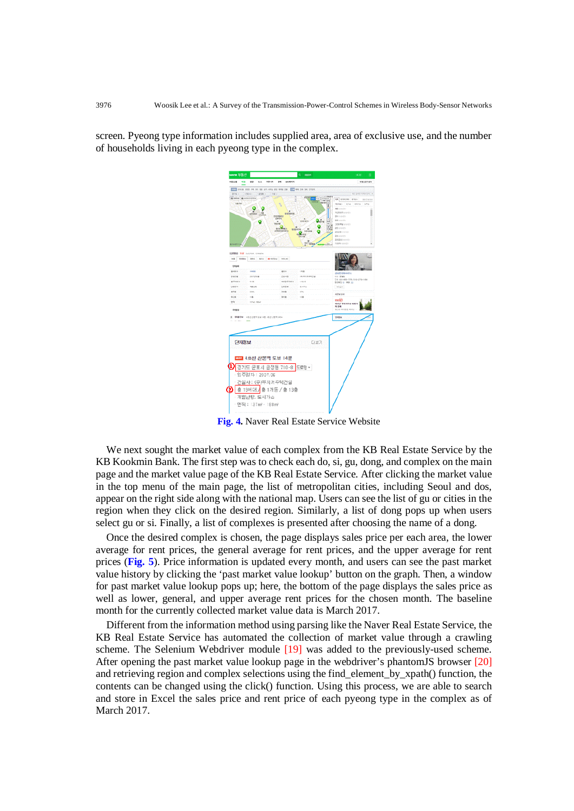screen. Pyeong type information includes supplied area, area of exclusive use, and the number of households living in each pyeong type in the complex.



**Fig. 4.** Naver Real Estate Service Website

We next sought the market value of each complex from the KB Real Estate Service by the KB Kookmin Bank. The first step was to check each do, si, gu, dong, and complex on the main page and the market value page of the KB Real Estate Service. After clicking the market value in the top menu of the main page, the list of metropolitan cities, including Seoul and dos, appear on the right side along with the national map. Users can see the list of gu or cities in the region when they click on the desired region. Similarly, a list of dong pops up when users select gu or si. Finally, a list of complexes is presented after choosing the name of a dong.

Once the desired complex is chosen, the page displays sales price per each area, the lower average for rent prices, the general average for rent prices, and the upper average for rent prices (**Fig. 5**). Price information is updated every month, and users can see the past market value history by clicking the 'past market value lookup' button on the graph. Then, a window for past market value lookup pops up; here, the bottom of the page displays the sales price as well as lower, general, and upper average rent prices for the chosen month. The baseline month for the currently collected market value data is March 2017.

Different from the information method using parsing like the Naver Real Estate Service, the KB Real Estate Service has automated the collection of market value through a crawling scheme. The Selenium Webdriver module [19] was added to the previously-used scheme. After opening the past market value lookup page in the webdriver's phantomJS browser [20] and retrieving region and complex selections using the find\_element\_by\_xpath() function, the contents can be changed using the click() function. Using this process, we are able to search and store in Excel the sales price and rent price of each pyeong type in the complex as of March 2017.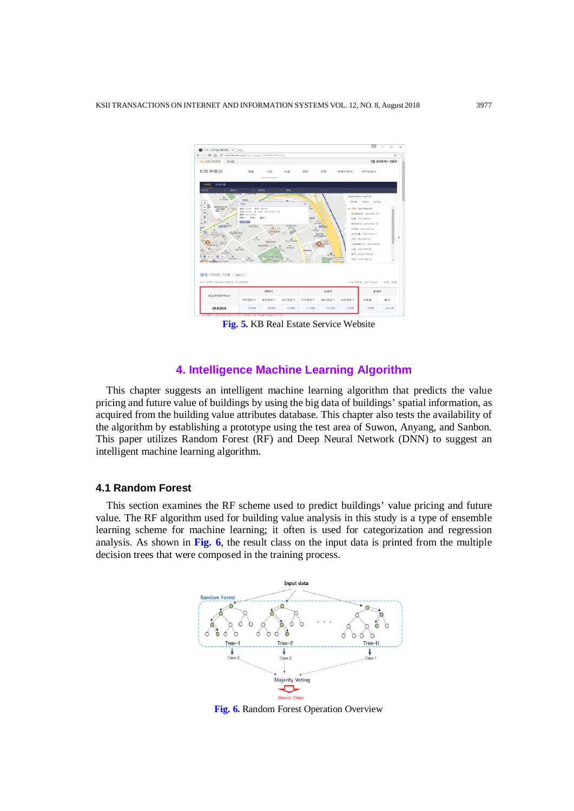| + C O @ niand kbstac.com/pusco/page=80AE9494946ading |                                                                                                      |                             |                                               |                                 |                                             |       |                                                                    | ŵ           |
|------------------------------------------------------|------------------------------------------------------------------------------------------------------|-----------------------------|-----------------------------------------------|---------------------------------|---------------------------------------------|-------|--------------------------------------------------------------------|-------------|
| KBREEN #39                                           |                                                                                                      |                             |                                               |                                 |                                             |       |                                                                    | E 8안8개사 변용관 |
| KB早居산                                                | 哨警                                                                                                   | ALME.                       | 自告                                            | N/ST                            | 22141                                       | 早新分配址 | MYMBH                                                              |             |
| 双码点键<br><b>1668</b> EL<br>百万车<br>244                 |                                                                                                      | <b>aus</b>                  | <b>an</b>                                     |                                 |                                             |       |                                                                    |             |
| <b>Warren</b>                                        | <b>NHH</b>                                                                                           |                             |                                               |                                 |                                             |       | 近型面内容を小宮小宮<br><b>NUD 450 253</b>                                   |             |
| ٠<br>佳设地上标业<br>-<br><b>EDI</b><br><b>BALMEY</b><br>m | <b>Inte</b><br>番篷 白白花<br>→ はってる   第174条 (お2) にお内にの<br><b>WW 433-4934</b><br>梅梅 2 1 254 0 1 1 1 4 0 1 | <b>GE INSIDE</b>            |                                               | $\times$<br>2W<br><b>SIGLIA</b> |                                             |       | - 2018. CONVERSIONS<br><b>INSTRUME DANIERS</b><br>与集: (71/1990.09) |             |
|                                                      |                                                                                                      |                             |                                               |                                 |                                             |       |                                                                    |             |
| <b>GOVERNO</b><br>20.3125                            | <b>STAND</b><br>AUTO CALL BE                                                                         | (1, 1)<br><b>JEGHOVA SC</b> | <b>STARLS</b><br>SRR                          | 1.790                           | $=1.317$<br><b>GOTT</b>                     |       | RECEIVED 1420-1992 1911<br>单密制: (803/7003.13)                      |             |
| <b>Habolne</b><br>MEDITION<br>A Suit<br><b>ANDRE</b> | $\frac{1}{2}$                                                                                        | 設置空間<br><b>Artistrike</b>   | $a$ <sub>E</sub><br>$\overline{\phantom{a}}$  |                                 | <b>Hildrick</b><br>100910-014<br><b>YES</b> |       | 証明当集 (700/1852/11)<br>WO INVISITIE<br><b>设备单管包凸 200/2000200</b>    |             |
| <b>AELISED</b><br>세대수 图 연락<br>26-14 Monte            | <b>CERTIFIED</b>                                                                                     | 设装用装置新                      | <b>BREES</b><br><b>EM</b><br>as at he we ket- | Anterpris                       | <b>ULTILA</b>                               |       | <b>长期 市场内部和田</b><br>事帯 IDSS2799404<br>Right my research            |             |
| a de Hallado                                         | <b><i>LETTERS</i></b>                                                                                | <b>NAMP</b>                 | <b>Growth Ford Bri</b>                        |                                 | <b>ANDRE STATIS</b>                         |       |                                                                    |             |
| $\frac{u}{u}$<br>tiri.<br>13<br>경아, 아파트 시세 해봐지       |                                                                                                      |                             |                                               |                                 |                                             |       |                                                                    |             |
|                                                      |                                                                                                      |                             |                                               |                                 |                                             |       |                                                                    |             |
|                                                      |                                                                                                      | 매매기                         |                                               |                                 | 石城市                                         |       | 磁域方                                                                |             |
| 권기 군포시 당신로125분할 15 (균형원)<br>프리/전용면적(w)               | 비위평공가                                                                                                | 달반불균가                       | 상위원공가                                         | 当有限益习                           | 일반평균가                                       | 상위평균가 | 早春县                                                                | 宿用          |

**Fig. 5.** KB Real Estate Service Website

## **4. Intelligence Machine Learning Algorithm**

This chapter suggests an intelligent machine learning algorithm that predicts the value pricing and future value of buildings by using the big data of buildings' spatial information, as acquired from the building value attributes database. This chapter also tests the availability of the algorithm by establishing a prototype using the test area of Suwon, Anyang, and Sanbon. This paper utilizes Random Forest (RF) and Deep Neural Network (DNN) to suggest an intelligent machine learning algorithm.

## **4.1 Random Forest**

This section examines the RF scheme used to predict buildings' value pricing and future value. The RF algorithm used for building value analysis in this study is a type of ensemble learning scheme for machine learning; it often is used for categorization and regression analysis. As shown in **Fig. 6**, the result class on the input data is printed from the multiple decision trees that were composed in the training process.



**Fig. 6.** Random Forest Operation Overview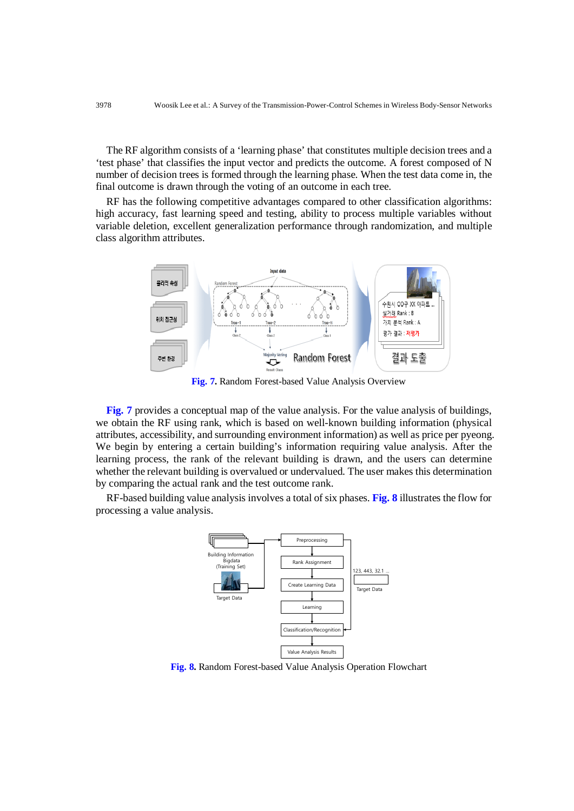The RF algorithm consists of a 'learning phase' that constitutes multiple decision trees and a 'test phase' that classifies the input vector and predicts the outcome. A forest composed of N number of decision trees is formed through the learning phase. When the test data come in, the final outcome is drawn through the voting of an outcome in each tree.

RF has the following competitive advantages compared to other classification algorithms: high accuracy, fast learning speed and testing, ability to process multiple variables without variable deletion, excellent generalization performance through randomization, and multiple class algorithm attributes.



**Fig. 7.** Random Forest-based Value Analysis Overview

**Fig. 7** provides a conceptual map of the value analysis. For the value analysis of buildings, we obtain the RF using rank, which is based on well-known building information (physical attributes, accessibility, and surrounding environment information) as well as price per pyeong. We begin by entering a certain building's information requiring value analysis. After the learning process, the rank of the relevant building is drawn, and the users can determine whether the relevant building is overvalued or undervalued. The user makes this determination by comparing the actual rank and the test outcome rank.

RF-based building value analysis involves a total of six phases. **Fig. 8** illustrates the flow for processing a value analysis.



**Fig. 8.** Random Forest-based Value Analysis Operation Flowchart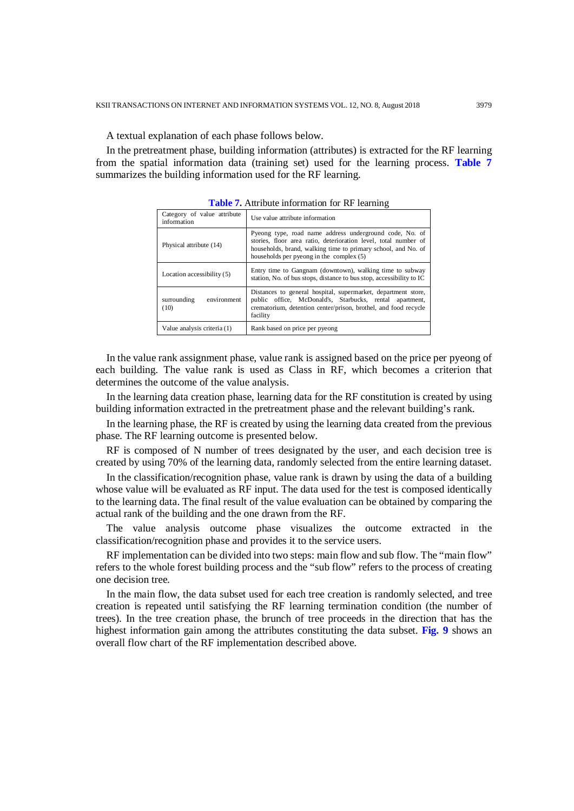A textual explanation of each phase follows below.

In the pretreatment phase, building information (attributes) is extracted for the RF learning from the spatial information data (training set) used for the learning process. **Table 7** summarizes the building information used for the RF learning.

| Category of value attribute<br>information | Use value attribute information                                                                                                                                                                                                           |
|--------------------------------------------|-------------------------------------------------------------------------------------------------------------------------------------------------------------------------------------------------------------------------------------------|
| Physical attribute (14)                    | Pyeong type, road name address underground code, No. of<br>stories, floor area ratio, deterioration level, total number of<br>households, brand, walking time to primary school, and No. of<br>households per pyeong in the complex $(5)$ |
| Location accessibility (5)                 | Entry time to Gangnam (downtown), walking time to subway<br>station, No. of bus stops, distance to bus stop, accessibility to IC                                                                                                          |
| surrounding<br>environment<br>(10)         | Distances to general hospital, supermarket, department store,<br>public office, McDonald's, Starbucks, rental apartment,<br>crematorium, detention center/prison, brothel, and food recycle<br>facility                                   |
| Value analysis criteria (1)                | Rank based on price per pyeong                                                                                                                                                                                                            |

**Table 7.** Attribute information for RF learning

In the value rank assignment phase, value rank is assigned based on the price per pyeong of each building. The value rank is used as Class in RF, which becomes a criterion that determines the outcome of the value analysis.

In the learning data creation phase, learning data for the RF constitution is created by using building information extracted in the pretreatment phase and the relevant building's rank.

In the learning phase, the RF is created by using the learning data created from the previous phase. The RF learning outcome is presented below.

RF is composed of N number of trees designated by the user, and each decision tree is created by using 70% of the learning data, randomly selected from the entire learning dataset.

In the classification/recognition phase, value rank is drawn by using the data of a building whose value will be evaluated as RF input. The data used for the test is composed identically to the learning data. The final result of the value evaluation can be obtained by comparing the actual rank of the building and the one drawn from the RF.

The value analysis outcome phase visualizes the outcome extracted in the classification/recognition phase and provides it to the service users.

RF implementation can be divided into two steps: main flow and sub flow. The "main flow" refers to the whole forest building process and the "sub flow" refers to the process of creating one decision tree.

In the main flow, the data subset used for each tree creation is randomly selected, and tree creation is repeated until satisfying the RF learning termination condition (the number of trees). In the tree creation phase, the brunch of tree proceeds in the direction that has the highest information gain among the attributes constituting the data subset. **Fig. 9** shows an overall flow chart of the RF implementation described above.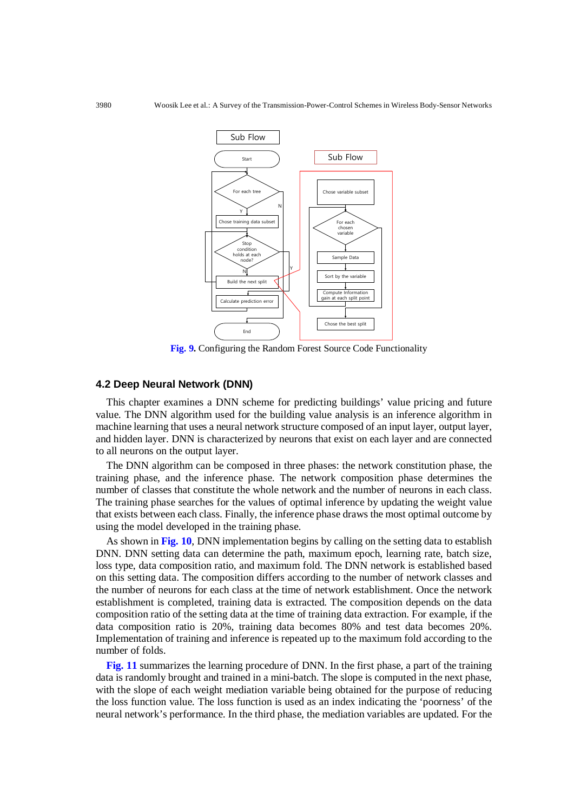

**Fig. 9.** Configuring the Random Forest Source Code Functionality

## **4.2 Deep Neural Network (DNN)**

This chapter examines a DNN scheme for predicting buildings' value pricing and future value. The DNN algorithm used for the building value analysis is an inference algorithm in machine learning that uses a neural network structure composed of an input layer, output layer, and hidden layer. DNN is characterized by neurons that exist on each layer and are connected to all neurons on the output layer.

The DNN algorithm can be composed in three phases: the network constitution phase, the training phase, and the inference phase. The network composition phase determines the number of classes that constitute the whole network and the number of neurons in each class. The training phase searches for the values of optimal inference by updating the weight value that exists between each class. Finally, the inference phase draws the most optimal outcome by using the model developed in the training phase.

As shown in **Fig. 10**, DNN implementation begins by calling on the setting data to establish DNN. DNN setting data can determine the path, maximum epoch, learning rate, batch size, loss type, data composition ratio, and maximum fold. The DNN network is established based on this setting data. The composition differs according to the number of network classes and the number of neurons for each class at the time of network establishment. Once the network establishment is completed, training data is extracted. The composition depends on the data composition ratio of the setting data at the time of training data extraction. For example, if the data composition ratio is 20%, training data becomes 80% and test data becomes 20%. Implementation of training and inference is repeated up to the maximum fold according to the number of folds.

**Fig. 11** summarizes the learning procedure of DNN. In the first phase, a part of the training data is randomly brought and trained in a mini-batch. The slope is computed in the next phase, with the slope of each weight mediation variable being obtained for the purpose of reducing the loss function value. The loss function is used as an index indicating the 'poorness' of the neural network's performance. In the third phase, the mediation variables are updated. For the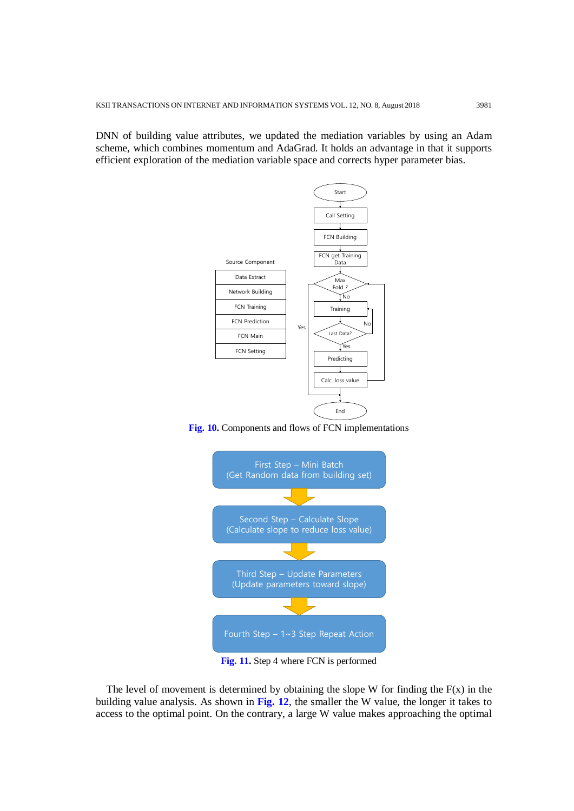DNN of building value attributes, we updated the mediation variables by using an Adam scheme, which combines momentum and AdaGrad. It holds an advantage in that it supports efficient exploration of the mediation variable space and corrects hyper parameter bias.



**Fig. 10.** Components and flows of FCN implementations



**Fig. 11.** Step 4 where FCN is performed

The level of movement is determined by obtaining the slope W for finding the  $F(x)$  in the building value analysis. As shown in **Fig. 12**, the smaller the W value, the longer it takes to access to the optimal point. On the contrary, a large W value makes approaching the optimal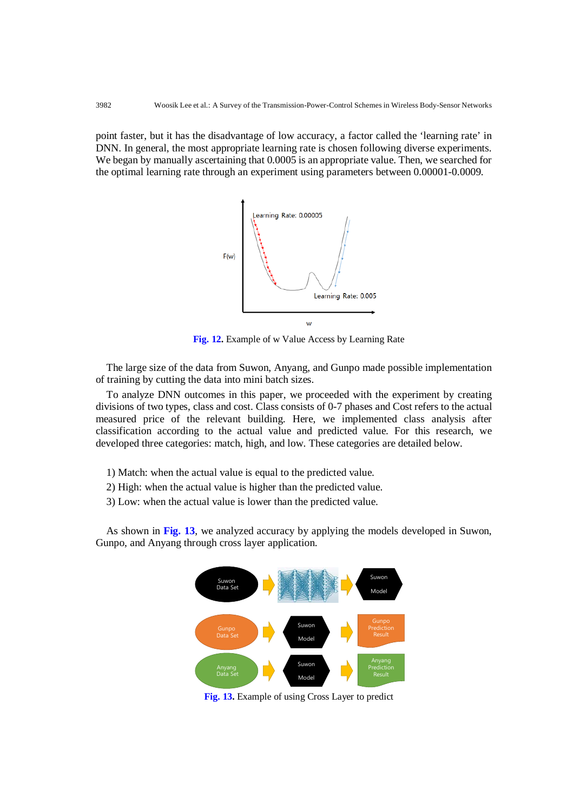point faster, but it has the disadvantage of low accuracy, a factor called the 'learning rate' in DNN. In general, the most appropriate learning rate is chosen following diverse experiments. We began by manually ascertaining that 0.0005 is an appropriate value. Then, we searched for the optimal learning rate through an experiment using parameters between 0.00001-0.0009.



**Fig. 12.** Example of w Value Access by Learning Rate

The large size of the data from Suwon, Anyang, and Gunpo made possible implementation of training by cutting the data into mini batch sizes.

To analyze DNN outcomes in this paper, we proceeded with the experiment by creating divisions of two types, class and cost. Class consists of 0-7 phases and Cost refers to the actual measured price of the relevant building. Here, we implemented class analysis after classification according to the actual value and predicted value. For this research, we developed three categories: match, high, and low. These categories are detailed below.

1) Match: when the actual value is equal to the predicted value.

2) High: when the actual value is higher than the predicted value.

3) Low: when the actual value is lower than the predicted value.

As shown in **Fig. 13**, we analyzed accuracy by applying the models developed in Suwon, Gunpo, and Anyang through cross layer application.



**Fig. 13.** Example of using Cross Layer to predict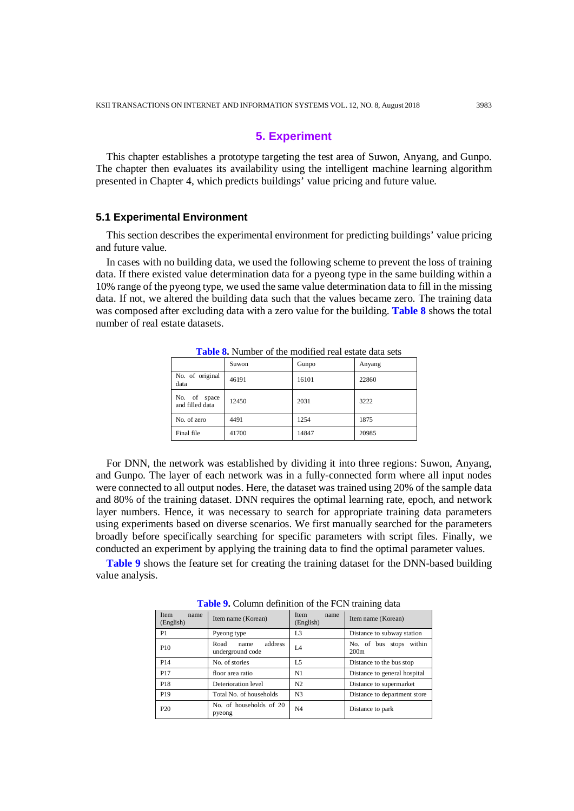## **5. Experiment**

This chapter establishes a prototype targeting the test area of Suwon, Anyang, and Gunpo. The chapter then evaluates its availability using the intelligent machine learning algorithm presented in Chapter 4, which predicts buildings' value pricing and future value.

#### **5.1 Experimental Environment**

This section describes the experimental environment for predicting buildings' value pricing and future value.

In cases with no building data, we used the following scheme to prevent the loss of training data. If there existed value determination data for a pyeong type in the same building within a 10% range of the pyeong type, we used the same value determination data to fill in the missing data. If not, we altered the building data such that the values became zero. The training data was composed after excluding data with a zero value for the building. **Table 8** shows the total number of real estate datasets.

|                                 | Suwon | Gunpo | Anyang |
|---------------------------------|-------|-------|--------|
| No. of original<br>data         | 46191 | 16101 | 22860  |
| No. of space<br>and filled data | 12450 | 2031  | 3222   |
| No. of zero                     | 4491  | 1254  | 1875   |
| Final file                      | 41700 | 14847 | 20985  |
|                                 |       |       |        |

**Table 8.** Number of the modified real estate data sets

For DNN, the network was established by dividing it into three regions: Suwon, Anyang, and Gunpo. The layer of each network was in a fully-connected form where all input nodes were connected to all output nodes. Here, the dataset was trained using 20% of the sample data and 80% of the training dataset. DNN requires the optimal learning rate, epoch, and network layer numbers. Hence, it was necessary to search for appropriate training data parameters using experiments based on diverse scenarios. We first manually searched for the parameters broadly before specifically searching for specific parameters with script files. Finally, we conducted an experiment by applying the training data to find the optimal parameter values.

**Table 9** shows the feature set for creating the training dataset for the DNN-based building value analysis.

| Item<br>name<br>(English) | Item name (Korean)                          | Item<br>name<br>(English) | ີ<br>Item name (Korean)            |
|---------------------------|---------------------------------------------|---------------------------|------------------------------------|
| P1                        | Pyeong type                                 | L3                        | Distance to subway station         |
| P <sub>10</sub>           | address<br>Road<br>name<br>underground code | L4                        | within<br>No. of bus stops<br>200m |
| P <sub>14</sub>           | No. of stories                              | L <sub>5</sub>            | Distance to the bus stop           |
| P17                       | floor area ratio                            | N1                        | Distance to general hospital       |
| P <sub>18</sub>           | Deterioration level                         | N <sub>2</sub>            | Distance to supermarket            |
| P19                       | Total No. of households                     | N <sub>3</sub>            | Distance to department store       |
| P <sub>20</sub>           | No. of households of 20<br>pyeong           | N <sub>4</sub>            | Distance to park                   |

**Table 9.** Column definition of the FCN training data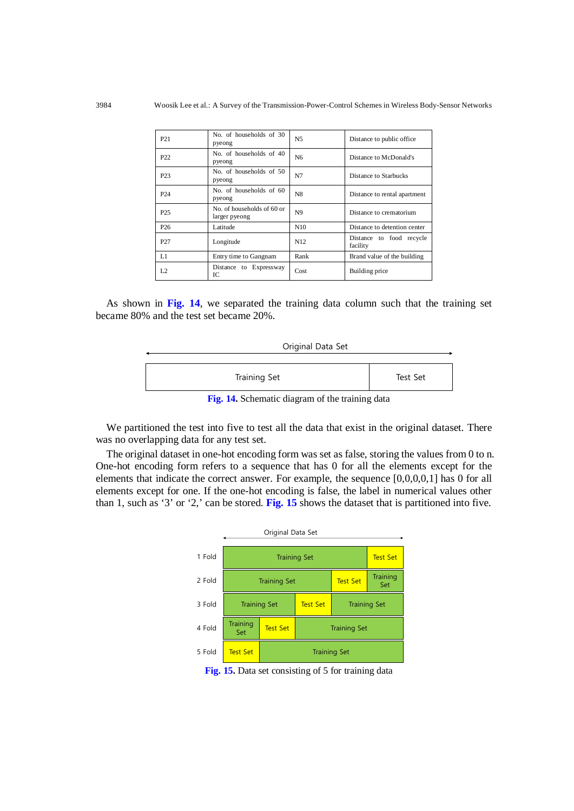| P <sub>21</sub> | No. of households of 30<br>pyeong           | N <sub>5</sub>  | Distance to public office.           |
|-----------------|---------------------------------------------|-----------------|--------------------------------------|
| P <sub>22</sub> | No. of households of 40<br>pyeong           | N <sub>6</sub>  | Distance to McDonald's               |
| P <sub>23</sub> | No. of households of 50<br>pyeong           | N7              | Distance to Starbucks                |
| P <sub>24</sub> | No. of households of 60<br>pyeong           | N8              | Distance to rental apartment         |
| P <sub>25</sub> | No. of households of 60 or<br>larger pyeong | N9              | Distance to crematorium              |
| P <sub>26</sub> | Latitude                                    | N10             | Distance to detention center         |
| P <sub>27</sub> | Longitude                                   | N <sub>12</sub> | Distance to food recycle<br>facility |
| L1              | Entry time to Gangnam                       | Rank            | Brand value of the building          |
| L <sub>2</sub>  | Distance to Expressway<br>IC                | Cost            | Building price                       |

As shown in **Fig. 14**, we separated the training data column such that the training set became 80% and the test set became 20%.

| Original Data Set |
|-------------------|
|-------------------|

| Training Set | Test Set |
|--------------|----------|

**Fig. 14.** Schematic diagram of the training data

We partitioned the test into five to test all the data that exist in the original dataset. There was no overlapping data for any test set.

The original dataset in one-hot encoding form was set as false, storing the values from 0 to n. One-hot encoding form refers to a sequence that has 0 for all the elements except for the elements that indicate the correct answer. For example, the sequence [0,0,0,0,1] has 0 for all elements except for one. If the one-hot encoding is false, the label in numerical values other than 1, such as '3' or '2,' can be stored. **Fig. 15** shows the dataset that is partitioned into five.



**Fig. 15.** Data set consisting of 5 for training data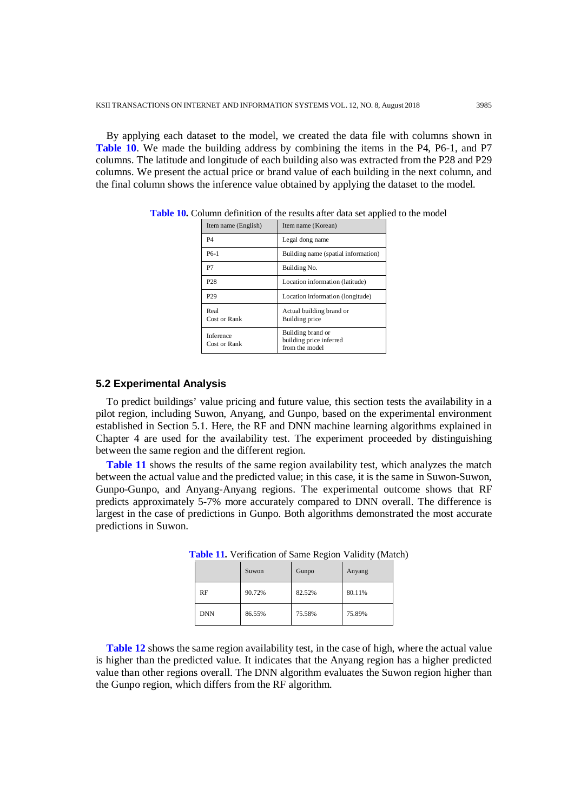By applying each dataset to the model, we created the data file with columns shown in **Table 10**. We made the building address by combining the items in the P4, P6-1, and P7 columns. The latitude and longitude of each building also was extracted from the P28 and P29 columns. We present the actual price or brand value of each building in the next column, and the final column shows the inference value obtained by applying the dataset to the model.

| Item name (English)       | Item name (Korean)                                             |
|---------------------------|----------------------------------------------------------------|
| P4                        | Legal dong name                                                |
| $P6-1$                    | Building name (spatial information)                            |
| P7                        | Building No.                                                   |
| P <sub>28</sub>           | Location information (latitude)                                |
| P <sub>29</sub>           | Location information (longitude)                               |
| Real<br>Cost or Rank      | Actual building brand or<br>Building price                     |
| Inference<br>Cost or Rank | Building brand or<br>building price inferred<br>from the model |

**Table 10.** Column definition of the results after data set applied to the model

#### **5.2 Experimental Analysis**

To predict buildings' value pricing and future value, this section tests the availability in a pilot region, including Suwon, Anyang, and Gunpo, based on the experimental environment established in Section 5.1. Here, the RF and DNN machine learning algorithms explained in Chapter 4 are used for the availability test. The experiment proceeded by distinguishing between the same region and the different region.

**Table 11** shows the results of the same region availability test, which analyzes the match between the actual value and the predicted value; in this case, it is the same in Suwon-Suwon, Gunpo-Gunpo, and Anyang-Anyang regions. The experimental outcome shows that RF predicts approximately 5-7% more accurately compared to DNN overall. The difference is largest in the case of predictions in Gunpo. Both algorithms demonstrated the most accurate predictions in Suwon.

|            | Suwon  | Gunpo  | Anyang |
|------------|--------|--------|--------|
| <b>RF</b>  | 90.72% | 82.52% | 80.11% |
| <b>DNN</b> | 86.55% | 75.58% | 75.89% |

**Table 11.** Verification of Same Region Validity (Match)

**Table 12** shows the same region availability test, in the case of high, where the actual value is higher than the predicted value. It indicates that the Anyang region has a higher predicted value than other regions overall. The DNN algorithm evaluates the Suwon region higher than the Gunpo region, which differs from the RF algorithm.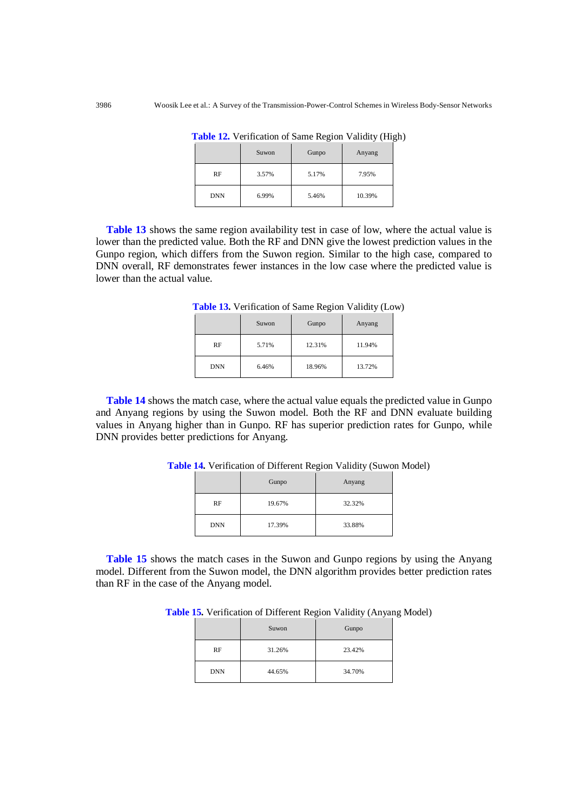|            | Suwon | Gunpo | Anyang |
|------------|-------|-------|--------|
| RF         | 3.57% | 5.17% | 7.95%  |
| <b>DNN</b> | 6.99% | 5.46% | 10.39% |

**Table 12.** Verification of Same Region Validity (High)

**Table 13** shows the same region availability test in case of low, where the actual value is lower than the predicted value. Both the RF and DNN give the lowest prediction values in the Gunpo region, which differs from the Suwon region. Similar to the high case, compared to DNN overall, RF demonstrates fewer instances in the low case where the predicted value is lower than the actual value.

|            | Suwon | Gunpo  | Anyang |
|------------|-------|--------|--------|
| RF         | 5.71% | 12.31% | 11.94% |
| <b>DNN</b> | 6.46% | 18.96% | 13.72% |

**Table 13.** Verification of Same Region Validity (Low)

**Table 14** shows the match case, where the actual value equals the predicted value in Gunpo and Anyang regions by using the Suwon model. Both the RF and DNN evaluate building values in Anyang higher than in Gunpo. RF has superior prediction rates for Gunpo, while DNN provides better predictions for Anyang.

|            |        | $\sim$ 1.1. Configuration of Different Region Tunday (button |  |
|------------|--------|--------------------------------------------------------------|--|
|            | Gunpo  | Anyang                                                       |  |
| RF         | 19.67% | 32.32%                                                       |  |
| <b>DNN</b> | 17.39% | 33.88%                                                       |  |

**Table 14.** Verification of Different Region Validity (Suwon Model)

**Table 15** shows the match cases in the Suwon and Gunpo regions by using the Anyang model. Different from the Suwon model, the DNN algorithm provides better prediction rates than RF in the case of the Anyang model.

**Table 15.** Verification of Different Region Validity (Anyang Model)

|            | Suwon  | Gunpo  |
|------------|--------|--------|
| RF         | 31.26% | 23.42% |
| <b>DNN</b> | 44.65% | 34.70% |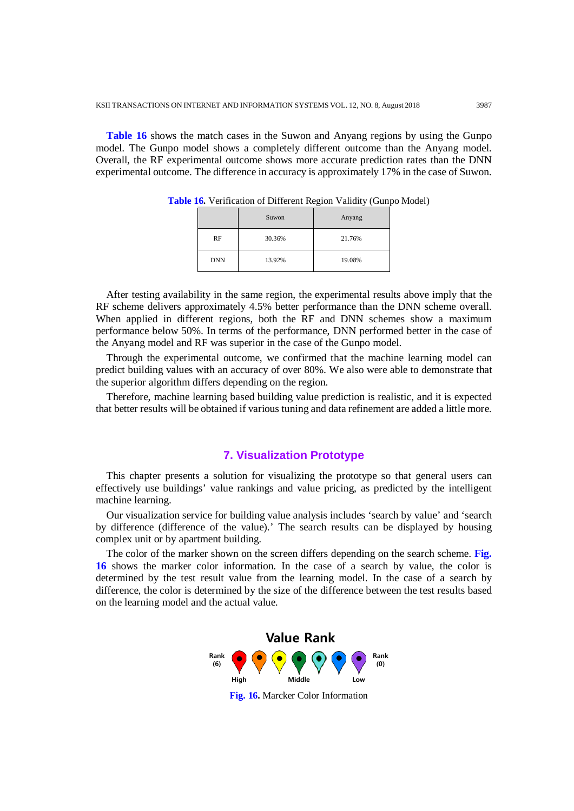**Table 16** shows the match cases in the Suwon and Anyang regions by using the Gunpo model. The Gunpo model shows a completely different outcome than the Anyang model. Overall, the RF experimental outcome shows more accurate prediction rates than the DNN experimental outcome. The difference in accuracy is approximately 17% in the case of Suwon.

|            | Suwon  | Anyang |
|------------|--------|--------|
| RF         | 30.36% | 21.76% |
| <b>DNN</b> | 13.92% | 19.08% |

**Table 16.** Verification of Different Region Validity (Gunpo Model)

After testing availability in the same region, the experimental results above imply that the RF scheme delivers approximately 4.5% better performance than the DNN scheme overall. When applied in different regions, both the RF and DNN schemes show a maximum performance below 50%. In terms of the performance, DNN performed better in the case of the Anyang model and RF was superior in the case of the Gunpo model.

Through the experimental outcome, we confirmed that the machine learning model can predict building values with an accuracy of over 80%. We also were able to demonstrate that the superior algorithm differs depending on the region.

Therefore, machine learning based building value prediction is realistic, and it is expected that better results will be obtained if various tuning and data refinement are added a little more.

## **7. Visualization Prototype**

This chapter presents a solution for visualizing the prototype so that general users can effectively use buildings' value rankings and value pricing, as predicted by the intelligent machine learning.

Our visualization service for building value analysis includes 'search by value' and 'search by difference (difference of the value).' The search results can be displayed by housing complex unit or by apartment building.

The color of the marker shown on the screen differs depending on the search scheme. **Fig. 16** shows the marker color information. In the case of a search by value, the color is determined by the test result value from the learning model. In the case of a search by difference, the color is determined by the size of the difference between the test results based on the learning model and the actual value.



**Fig. 16.** Marcker Color Information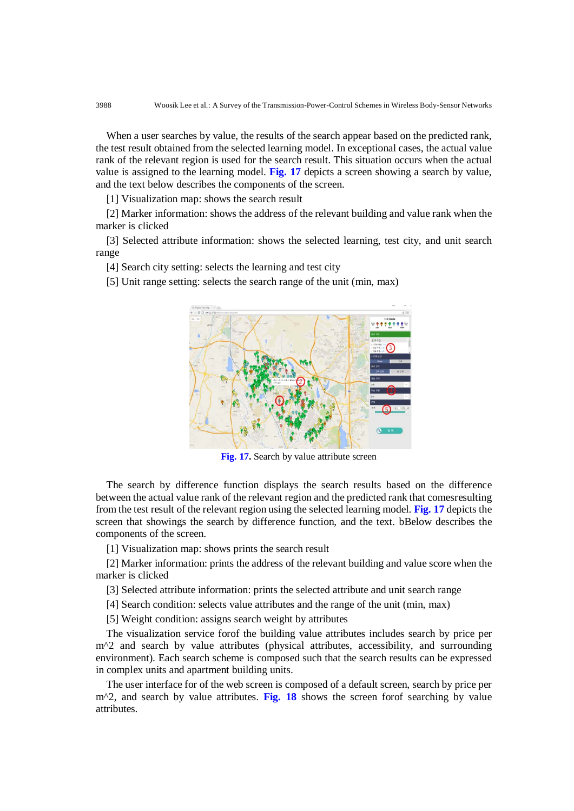When a user searches by value, the results of the search appear based on the predicted rank, the test result obtained from the selected learning model. In exceptional cases, the actual value rank of the relevant region is used for the search result. This situation occurs when the actual value is assigned to the learning model. **Fig. 17** depicts a screen showing a search by value, and the text below describes the components of the screen.

[1] Visualization map: shows the search result

[2] Marker information: shows the address of the relevant building and value rank when the marker is clicked

[3] Selected attribute information: shows the selected learning, test city, and unit search range

[4] Search city setting: selects the learning and test city

[5] Unit range setting: selects the search range of the unit (min, max)



**Fig. 17.** Search by value attribute screen

The search by difference function displays the search results based on the difference between the actual value rank of the relevant region and the predicted rank that comesresulting from the test result of the relevant region using the selected learning model. **Fig. 17** depicts the screen that showings the search by difference function, and the text. bBelow describes the components of the screen.

[1] Visualization map: shows prints the search result

[2] Marker information: prints the address of the relevant building and value score when the marker is clicked

[3] Selected attribute information: prints the selected attribute and unit search range

[4] Search condition: selects value attributes and the range of the unit (min, max)

[5] Weight condition: assigns search weight by attributes

The visualization service forof the building value attributes includes search by price per m<sup>2</sup> and search by value attributes (physical attributes, accessibility, and surrounding environment). Each search scheme is composed such that the search results can be expressed in complex units and apartment building units.

The user interface for of the web screen is composed of a default screen, search by price per m^2, and search by value attributes. **Fig. 18** shows the screen forof searching by value attributes.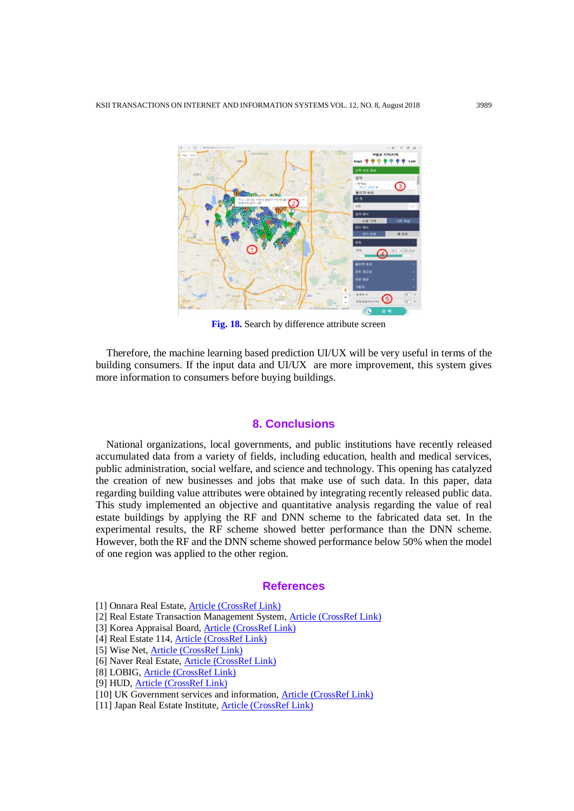

**Fig. 18.** Search by difference attribute screen

Therefore, the machine learning based prediction UI/UX will be very useful in terms of the building consumers. If the input data and UI/UX are more improvement, this system gives more information to consumers before buying buildings.

### **8. Conclusions**

National organizations, local governments, and public institutions have recently released accumulated data from a variety of fields, including education, health and medical services, public administration, social welfare, and science and technology. This opening has catalyzed the creation of new businesses and jobs that make use of such data. In this paper, data regarding building value attributes were obtained by integrating recently released public data. This study implemented an objective and quantitative analysis regarding the value of real estate buildings by applying the RF and DNN scheme to the fabricated data set. In the experimental results, the RF scheme showed better performance than the DNN scheme. However, both the RF and the DNN scheme showed performance below 50% when the model of one region was applied to the other region.

## **References**

- [2] Real Estate Transaction Management System, [Article \(CrossRef Link\)](http://rtms.molit.go.kr/)
- [3] Korea Appraisal Board, [Article \(CrossRef Link\)](http://www.r-one.co.kr/)
- [4] Real Estate 114, [Article \(CrossRef Link\)](http://www.r114.com/service/katlas)
- [5] Wise Net, [Article \(CrossRef Link\)](http://www.weiznet.co.kr/)
- [6] Naver Real Estate, **Article (CrossRef Link)**
- [8] LOBIG, [Article \(CrossRef Link\)](http://www.lobig.co.kr/)
- [9] HUD, [Article \(CrossRef Link\)](http://data.hud.gov/)
- [10] UK Government services and information[, Article \(CrossRef Link\)](http://www.gov.uk/)
- [11] Japan Real Estate Institute, [Article \(CrossRef Link\)](http://www.reinet.or.jp/)

<sup>[1]</sup> Onnara Real Estate[, Article \(CrossRef Link\)](http://www.onnara.go.kr/)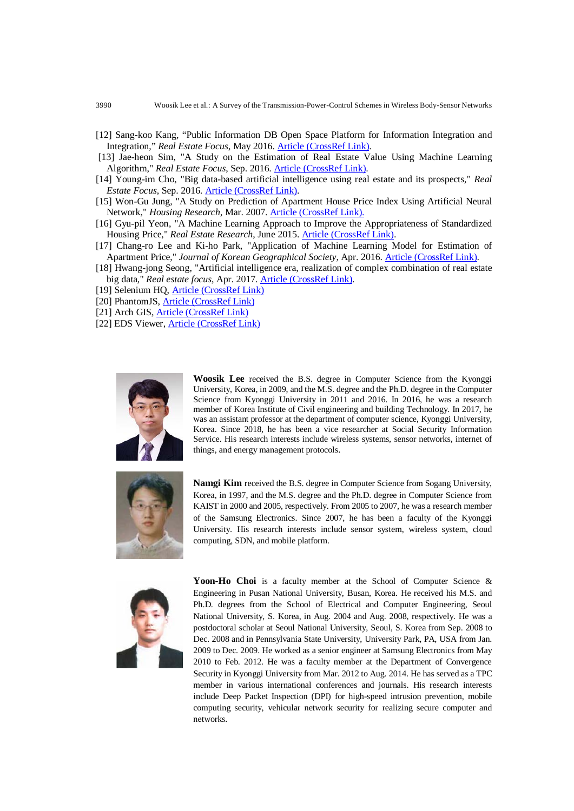- [12] Sang-koo Kang, "Public Information DB Open Space Platform for Information Integration and Integration," *Real Estate Focus*, May 2016[. Article \(CrossRef Link\).](https://www.kab.co.kr/kab/research/archive/03periodical01List.jsp)
- [13] Jae-heon Sim, "A Study on the Estimation of Real Estate Value Using Machine Learning Algorithm," *Real Estate Focus*, Sep. 2016. [Article \(CrossRef Link\).](https://www.kab.co.kr/kab/research/archive/03periodical01List.jsp)
- [14] Young-im Cho, "Big data-based artificial intelligence using real estate and its prospects," *Real Estate Focus*, Sep. 2016[. Article \(CrossRef Link\).](https://www.kab.co.kr/kab/research/archive/03periodical01List.jsp)
- [15] Won-Gu Jung, "A Study on Prediction of Apartment House Price Index Using Artificial Neural Network," *Housing Research*, Mar. 2007. [Article \(CrossRef Link\).](http://www.kahps.org/bbs/data01.html?ps_page=5)
- [16] Gyu-pil Yeon, "A Machine Learning Approach to Improve the Appropriateness of Standardized Housing Price," *Real Estate Research*, June 2015. [Article \(CrossRef Link\).](http://kiss.kstudy.com/thesis/thesis-view.asp?key=3342613)
- [17] Chang-ro Lee and Ki-ho Park, "Application of Machine Learning Model for Estimation of Apartment Price," *Journal of Korean Geographical Society*, Apr. 2016. [Article \(CrossRef Link\).](http://www.kgeography.or.kr/contents/bbs/bbs_content.html?bbs_cls_cd=002003001&cid=16051713242475&bbs_type=B)
- [18] Hwang-jong Seong, "Artificial intelligence era, realization of complex combination of real estate big data," *Real estate focus*, Apr. 2017. [Article \(CrossRef Link\).](https://www.kab.co.kr/kab/research/archive/03periodical01List.jsp)
- [19] Selenium HQ, [Article \(CrossRef Link\)](http://www.seleniumhq.org/)
- [20] PhantomJS[, Article \(CrossRef Link\)](http://phantomjs.org/)
- [21] Arch GIS, [Article \(CrossRef Link\)](https://www.arcgis.com/)
- [22] EDS Viewer, [Article \(CrossRef Link\)](http://blog.daum.net/prodori)



**Woosik Lee** received the B.S. degree in Computer Science from the Kyonggi University, Korea, in 2009, and the M.S. degree and the Ph.D. degree in the Computer Science from Kyonggi University in 2011 and 2016. In 2016, he was a research member of Korea Institute of Civil engineering and building Technology. In 2017, he was an assistant professor at the department of computer science, Kyonggi University, Korea. Since 2018, he has been a vice researcher at Social Security Information Service. His research interests include wireless systems, sensor networks, internet of things, and energy management protocols.



**Namgi Kim** received the B.S. degree in Computer Science from Sogang University, Korea, in 1997, and the M.S. degree and the Ph.D. degree in Computer Science from KAIST in 2000 and 2005, respectively. From 2005 to 2007, he was a research member of the Samsung Electronics. Since 2007, he has been a faculty of the Kyonggi University. His research interests include sensor system, wireless system, cloud computing, SDN, and mobile platform.



Yoon-Ho Choi is a faculty member at the School of Computer Science & Engineering in Pusan National University, Busan, Korea. He received his M.S. and Ph.D. degrees from the School of Electrical and Computer Engineering, Seoul National University, S. Korea, in Aug. 2004 and Aug. 2008, respectively. He was a postdoctoral scholar at Seoul National University, Seoul, S. Korea from Sep. 2008 to Dec. 2008 and in Pennsylvania State University, University Park, PA, USA from Jan. 2009 to Dec. 2009. He worked as a senior engineer at Samsung Electronics from May 2010 to Feb. 2012. He was a faculty member at the Department of Convergence Security in Kyonggi University from Mar. 2012 to Aug. 2014. He has served as a TPC member in various international conferences and journals. His research interests include Deep Packet Inspection (DPI) for high-speed intrusion prevention, mobile computing security, vehicular network security for realizing secure computer and networks.